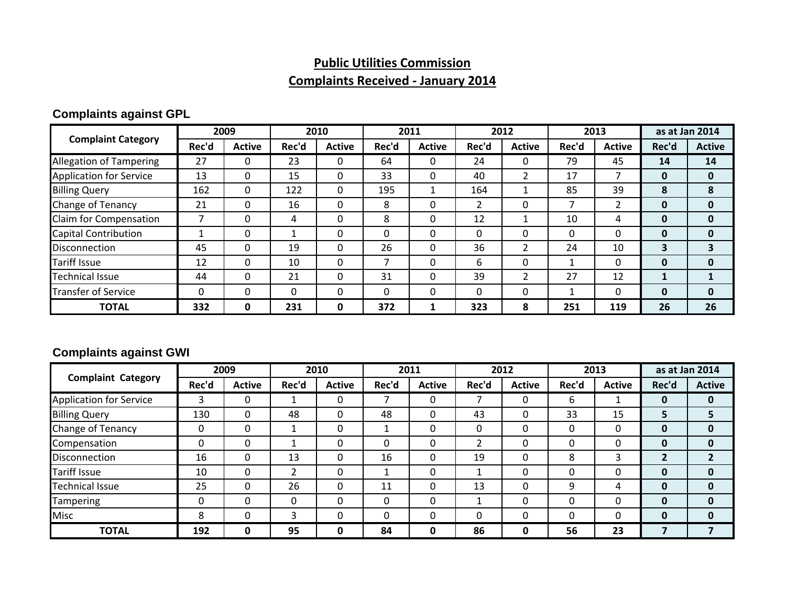# **Public Utilities Commission**

## **Complaints Received ‐ January 2014**

#### **Complaints against GPL**

|                                | 2009     |               | 2010  |               | 2011  |               | 2012     |               | 2013  |               | as at Jan 2014 |               |
|--------------------------------|----------|---------------|-------|---------------|-------|---------------|----------|---------------|-------|---------------|----------------|---------------|
| <b>Complaint Category</b>      | Rec'd    | <b>Active</b> | Rec'd | <b>Active</b> | Rec'd | <b>Active</b> | Rec'd    | <b>Active</b> | Rec'd | <b>Active</b> | Rec'd          | <b>Active</b> |
| <b>Allegation of Tampering</b> | 27       | 0             | 23    | 0             | 64    | 0             | 24       |               | 79    | 45            | 14             | 14            |
| <b>Application for Service</b> | 13       | $\Omega$      | 15    | $\Omega$      | 33    | 0             | 40       | 2             | 17    |               | $\mathbf{0}$   | $\mathbf{0}$  |
| <b>Billing Query</b>           | 162      | $\Omega$      | 122   | 0             | 195   |               | 164      |               | 85    | 39            | 8              | 8             |
| Change of Tenancy              | 21       | $\Omega$      | 16    | 0             | 8     | 0             |          | 0             |       |               | 0              | $\mathbf{0}$  |
| Claim for Compensation         |          | $\Omega$      | 4     | 0             | 8     | $\Omega$      | 12       |               | 10    | 4             | 0              | $\mathbf{0}$  |
| <b>Capital Contribution</b>    |          | 0             |       | 0             |       | 0             |          | 0             | 0     | 0             | 0              | $\mathbf{0}$  |
| <b>Disconnection</b>           | 45       | $\Omega$      | 19    | 0             | 26    | 0             | 36       |               | 24    | 10            | э              |               |
| Tariff Issue                   | 12       | $\mathbf{0}$  | 10    | 0             |       | $\Omega$      | 6        | 0             |       | 0             | 0              | $\mathbf{0}$  |
| <b>Technical Issue</b>         | 44       | $\Omega$      | 21    | $\Omega$      | 31    | $\Omega$      | 39       | າ             | 27    | 12            |                |               |
| <b>Transfer of Service</b>     | $\Omega$ | $\Omega$      | 0     | 0             | 0     | $\Omega$      | $\Omega$ | $\mathbf{0}$  |       | 0             | $\mathbf{0}$   | $\mathbf{0}$  |
| <b>TOTAL</b>                   | 332      | 0             | 231   | 0             | 372   | 1             | 323      | 8             | 251   | 119           | 26             | 26            |

#### **Complaints against GWI**

|                                | 2009  |               | 2010  |               | 2011  |               | 2012     |               | 2013  |               | as at Jan 2014 |               |
|--------------------------------|-------|---------------|-------|---------------|-------|---------------|----------|---------------|-------|---------------|----------------|---------------|
| <b>Complaint Category</b>      | Rec'd | <b>Active</b> | Rec'd | <b>Active</b> | Rec'd | <b>Active</b> | Rec'd    | <b>Active</b> | Rec'd | <b>Active</b> | Rec'd          | <b>Active</b> |
| <b>Application for Service</b> | 3     | 0             | 1     | 0             |       | $\mathbf{0}$  |          | 0             | 6     |               | 0              | $\mathbf{0}$  |
| <b>Billing Query</b>           | 130   | $\Omega$      | 48    | 0             | 48    | $\Omega$      | 43       | 0             | 33    | 15            | э              |               |
| Change of Tenancy              | 0     | $\mathbf{0}$  | 1     | 0             |       | $\Omega$      | $\Omega$ | $\Omega$      |       | 0             | 0              | $\mathbf{0}$  |
| Compensation                   | 0     | $\mathbf{0}$  |       | 0             | 0     | $\Omega$      |          | 0             |       | 0             | 0              | 0             |
| Disconnection                  | 16    | 0             | 13    | 0             | 16    | 0             | 19       | 0             | 8     | 3             | ∍              |               |
| <b>Tariff Issue</b>            | 10    | $\mathbf{0}$  | C     | 0             |       | 0             |          | 0             |       | 0             | 0              | 0             |
| <b>Technical Issue</b>         | 25    | 0             | 26    | 0             | 11    | 0             | 13       | 0             | q     | 4             | 0              | 0             |
| Tampering                      | 0     | 0             | 0     | 0             | 0     | 0             |          | 0             |       | 0             | 0              | 0             |
| <b>Misc</b>                    | 8     | 0             | 3     | $\Omega$      | 0     | $\Omega$      | $\Omega$ | 0             |       | 0             | 0              | 0             |
| <b>TOTAL</b>                   | 192   | 0             | 95    | 0             | 84    | 0             | 86       | 0             | 56    | 23            |                |               |